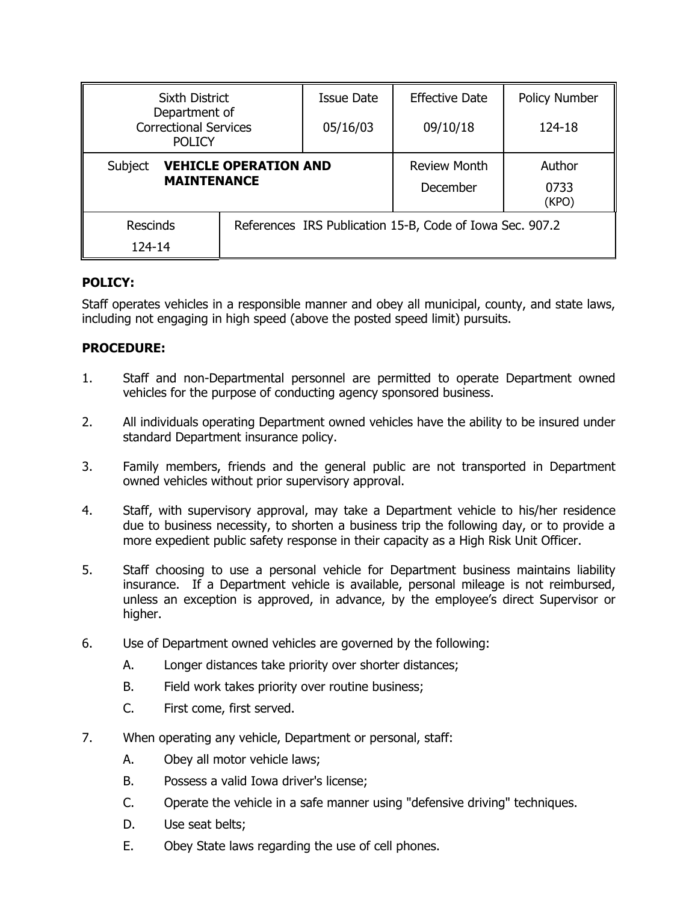| <b>Sixth District</b>                                          |  | <b>Issue Date</b>                                        | <b>Effective Date</b>           | Policy Number           |
|----------------------------------------------------------------|--|----------------------------------------------------------|---------------------------------|-------------------------|
| Department of<br><b>Correctional Services</b><br><b>POLICY</b> |  | 05/16/03                                                 | 09/10/18                        | 124-18                  |
| Subject<br><b>VEHICLE OPERATION AND</b><br><b>MAINTENANCE</b>  |  |                                                          | <b>Review Month</b><br>December | Author<br>0733<br>(KPO) |
| <b>Rescinds</b><br>124-14                                      |  | References IRS Publication 15-B, Code of Iowa Sec. 907.2 |                                 |                         |

## **POLICY:**

Staff operates vehicles in a responsible manner and obey all municipal, county, and state laws, including not engaging in high speed (above the posted speed limit) pursuits.

## **PROCEDURE:**

- 1. Staff and non-Departmental personnel are permitted to operate Department owned vehicles for the purpose of conducting agency sponsored business.
- 2. All individuals operating Department owned vehicles have the ability to be insured under standard Department insurance policy.
- 3. Family members, friends and the general public are not transported in Department owned vehicles without prior supervisory approval.
- 4. Staff, with supervisory approval, may take a Department vehicle to his/her residence due to business necessity, to shorten a business trip the following day, or to provide a more expedient public safety response in their capacity as a High Risk Unit Officer.
- 5. Staff choosing to use a personal vehicle for Department business maintains liability insurance. If a Department vehicle is available, personal mileage is not reimbursed, unless an exception is approved, in advance, by the employee's direct Supervisor or higher.
- 6. Use of Department owned vehicles are governed by the following:
	- A. Longer distances take priority over shorter distances;
	- B. Field work takes priority over routine business;
	- C. First come, first served.
- 7. When operating any vehicle, Department or personal, staff:
	- A. Obey all motor vehicle laws;
	- B. Possess a valid Iowa driver's license;
	- C. Operate the vehicle in a safe manner using "defensive driving" techniques.
	- D. Use seat belts;
	- E. Obey State laws regarding the use of cell phones.